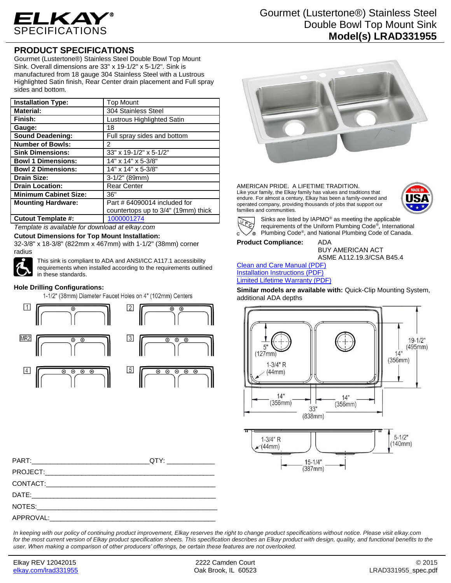

# Gourmet (Lustertone®) Stainless Steel Double Bowl Top Mount Sink **Model(s) LRAD331955**

## **PRODUCT SPECIFICATIONS**

Gourmet (Lustertone®) Stainless Steel Double Bowl Top Mount Sink. Overall dimensions are 33" x 19-1/2" x 5-1/2". Sink is manufactured from 18 gauge 304 Stainless Steel with a Lustrous Highlighted Satin finish, Rear Center drain placement and Full spray sides and bottom.

| <b>Installation Type:</b>    | <b>Top Mount</b>                    |
|------------------------------|-------------------------------------|
| <b>Material:</b>             | 304 Stainless Steel                 |
| Finish:                      | Lustrous Highlighted Satin          |
| Gauge:                       | 18                                  |
| <b>Sound Deadening:</b>      | Full spray sides and bottom         |
| <b>Number of Bowls:</b>      | 2                                   |
| <b>Sink Dimensions:</b>      | 33" x 19-1/2" x 5-1/2"              |
| <b>Bowl 1 Dimensions:</b>    | 14" x 14" x 5-3/8"                  |
| <b>Bowl 2 Dimensions:</b>    | 14" x 14" x 5-3/8"                  |
| <b>Drain Size:</b>           | $3-1/2"$ (89mm)                     |
| <b>Drain Location:</b>       | <b>Rear Center</b>                  |
| <b>Minimum Cabinet Size:</b> | 36"                                 |
| <b>Mounting Hardware:</b>    | Part # 64090014 included for        |
|                              | countertops up to 3/4" (19mm) thick |
| <b>Cutout Template #:</b>    | 1000001274                          |

*Template is available for download at elkay.com*

**Cutout Dimensions for Top Mount Installation:**

32-3/8" x 18-3/8" (822mm x 467mm) with 1-1/2" (38mm) corner radius



This sink is compliant to ADA and ANSI/ICC A117.1 accessibility requirements when installed according to the requirements outlined in these standards.

#### **Hole Drilling Configurations:**

1-1/2" (38mm) Diameter Faucet Holes on 4" (102mm) Centers





AMERICAN PRIDE. A LIFETIME TRADITION. Like your family, the Elkay family has values and traditions that endure. For almost a century, Elkay has been a family-owned and operated company, providing thousands of jobs that support our families and communities.





Sinks are listed by IAPMO® as meeting the applicable requirements of the Uniform Plumbing Code® , International Plumbing Code® , and National Plumbing Code of Canada.

**Product Compliance:** ADA

BUY AMERICAN ACT ASME A112.19.3/CSA B45.4

Clean and Care Manual (PDF) Installation Instructions (PDF) Limited Lifetime Warranty (PDF)

**Similar models are available with:** Quick-Clip Mounting System, additional ADA depths



PART:\_\_\_\_\_\_\_\_\_\_\_\_\_\_\_\_\_\_\_\_\_\_\_\_\_\_\_\_\_\_\_\_QTY: \_\_\_\_\_\_\_\_\_\_\_\_\_ PROJECT: CONTACT: DATE:\_\_\_\_\_\_\_\_\_\_\_\_\_\_\_\_\_\_\_\_\_\_\_\_\_\_\_\_\_\_\_\_\_\_\_\_\_\_\_\_\_\_\_\_\_\_\_\_\_\_ NOTES: APPROVAL:

*In keeping with our policy of continuing product improvement, Elkay reserves the right to change product specifications without notice. Please visit elkay.com for the most current version of Elkay product specification sheets. This specification describes an Elkay product with design, quality, and functional benefits to the user. When making a comparison of other producers' offerings, be certain these features are not overlooked.*